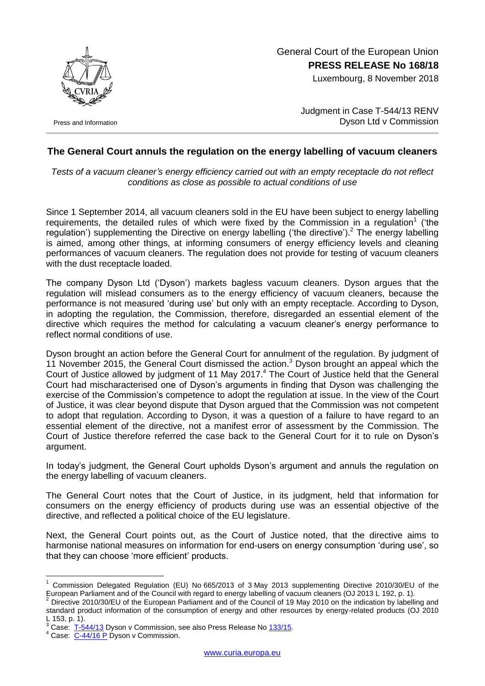

Press and Information

 General Court of the European Union **PRESS RELEASE No 168/18**

Luxembourg, 8 November 2018

Judgment in Case T-544/13 RENV Dyson Ltd v Commission

## **The General Court annuls the regulation on the energy labelling of vacuum cleaners**

*Tests of a vacuum cleaner's energy efficiency carried out with an empty receptacle do not reflect conditions as close as possible to actual conditions of use*

Since 1 September 2014, all vacuum cleaners sold in the EU have been subject to energy labelling requirements, the detailed rules of which were fixed by the Commission in a regulation<sup>1</sup> ('the regulation') supplementing the Directive on energy labelling ('the directive').<sup>2</sup> The energy labelling is aimed, among other things, at informing consumers of energy efficiency levels and cleaning performances of vacuum cleaners. The regulation does not provide for testing of vacuum cleaners with the dust receptacle loaded.

The company Dyson Ltd ('Dyson') markets bagless vacuum cleaners. Dyson argues that the regulation will mislead consumers as to the energy efficiency of vacuum cleaners, because the performance is not measured 'during use' but only with an empty receptacle. According to Dyson, in adopting the regulation, the Commission, therefore, disregarded an essential element of the directive which requires the method for calculating a vacuum cleaner's energy performance to reflect normal conditions of use.

Dyson brought an action before the General Court for annulment of the regulation. By judgment of 11 November 2015, the General Court dismissed the action.<sup>3</sup> Dyson brought an appeal which the Court of Justice allowed by judgment of 11 May 2017.<sup>4</sup> The Court of Justice held that the General Court had mischaracterised one of Dyson's arguments in finding that Dyson was challenging the exercise of the Commission's competence to adopt the regulation at issue. In the view of the Court of Justice, it was clear beyond dispute that Dyson argued that the Commission was not competent to adopt that regulation. According to Dyson, it was a question of a failure to have regard to an essential element of the directive, not a manifest error of assessment by the Commission. The Court of Justice therefore referred the case back to the General Court for it to rule on Dyson's argument.

In today's judgment, the General Court upholds Dyson's argument and annuls the regulation on the energy labelling of vacuum cleaners.

The General Court notes that the Court of Justice, in its judgment, held that information for consumers on the energy efficiency of products during use was an essential objective of the directive, and reflected a political choice of the EU legislature.

Next, the General Court points out, as the Court of Justice noted, that the directive aims to harmonise national measures on information for end-users on energy consumption 'during use', so that they can choose 'more efficient' products.

<u>.</u>

<sup>1</sup> Commission Delegated Regulation (EU) No 665/2013 of 3 May 2013 supplementing Directive 2010/30/EU of the European Parliament and of the Council with regard to energy labelling of vacuum cleaners (OJ 2013 L 192, p. 1).

<sup>2</sup> Directive 2010/30/EU of the European Parliament and of the Council of 19 May 2010 on the indication by labelling and standard product information of the consumption of energy and other resources by energy-related products (OJ 2010 L 153, p. 1).

<sup>&</sup>lt;sup>3</sup> Case: [T-544/13](http://curia.europa.eu/juris/documents.jsf?num=T-544/13) Dyson v Commission, see also Press Release No [133/15.](https://curia.europa.eu/jcms/upload/docs/application/pdf/2015-11/cp150133en.pdf)

 $4$  Case:  $\overline{C-44/16}$  P Dyson v Commission.